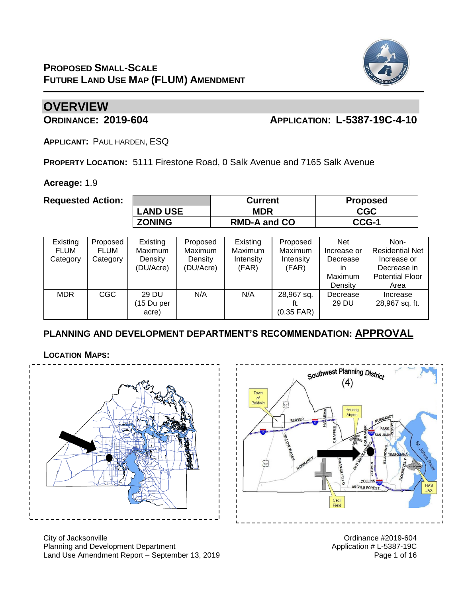

## **OVERVIEW**

### **ORDINANCE: 2019-604 APPLICATION: L-5387-19C-4-10**

**APPLICANT:** PAUL HARDEN, ESQ

**PROPERTY LOCATION:** 5111 Firestone Road, 0 Salk Avenue and 7165 Salk Avenue

**Acreage:** 1.9

**Requested Action:** 

|                 | <b>Current</b>      | <b>Proposed</b> |
|-----------------|---------------------|-----------------|
| <b>LAND USE</b> | MDR                 | <b>CGC</b>      |
| <b>ZONING</b>   | <b>RMD-A and CO</b> | CCG-1           |

| Existing<br><b>FLUM</b><br>Category | Proposed<br><b>FLUM</b><br>Category | Existing<br>Maximum<br>Density<br>(DU/Acre) | Proposed<br><b>Maximum</b><br>Density<br>(DU/Acre) | Existing<br>Maximum<br>Intensity<br>(FAR) | Proposed<br><b>Maximum</b><br>Intensity<br>(FAR) | <b>Net</b><br>Increase or<br>Decrease<br>ın<br>Maximum<br>Density | Non-<br><b>Residential Net</b><br>Increase or<br>Decrease in<br><b>Potential Floor</b><br>Area |
|-------------------------------------|-------------------------------------|---------------------------------------------|----------------------------------------------------|-------------------------------------------|--------------------------------------------------|-------------------------------------------------------------------|------------------------------------------------------------------------------------------------|
| <b>MDR</b>                          | <b>CGC</b>                          | 29 DU<br>(15 Du per<br>acre)                | N/A                                                | N/A                                       | 28,967 sq.<br>$(0.35$ FAR)                       | Decrease<br>29 DU                                                 | Increase<br>28,967 sq. ft.                                                                     |

### **PLANNING AND DEVELOPMENT DEPARTMENT'S RECOMMENDATION: APPROVAL**

**LOCATION MAPS:**



City of Jacksonville Ordinance #2019-604 Planning and Development Department Application # L-5387-19C Land Use Amendment Report – September 13, 2019 Page 1 of 16

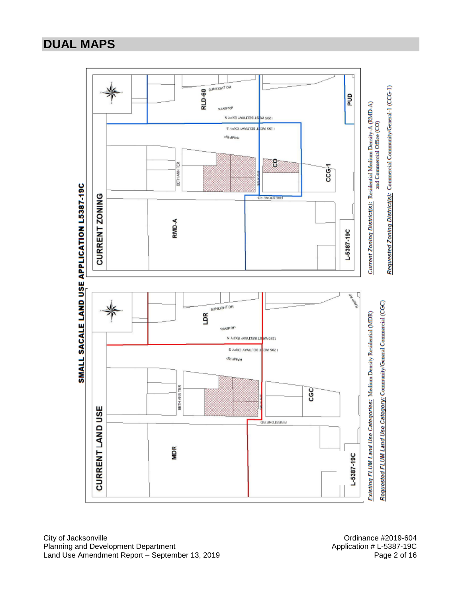## **DUAL MAPS**

**BU** SUNCISHT DR Requested Zoning District(s): Commercial Community/General-1 (CCG-1) **eug** C*urrent Zoning District(s):* Residential Medium Density-A (RMD-A)<br>and Commercial Office (CO) 1295 WE ST BELTWAY EXPY N E Adoll AWAILTEE 1 22M G62 | diretiyat ဥ BETH ANN TER  $CCG<sub>1</sub>$ SMALL SACALE LAND USE APPLICATION L5387-19C **CURRENT ZONING ON ENOTSER** RMD-A  $-5387 - 19C$ 咒 Requested FLUM Land Use Category: Community/General Commercial (CGC) SUNUCHT OR LDR Existing FLUM Land Use Categories: Medium Density Residential (MDR) **RAMP RP** 1295 WE<mark>ST BELTIMAY EXPY N</mark> 1399 WERLINGTOWN EXPY S wwwsb BETH ANN TER CGC CURRENT LAND USE **FIRESTONE RD** MDR L-5387-19C

City of Jacksonville<br>
Planning and Development Department<br>
Planning and Development Department<br>
Ordinance #2019-604<br>
Application # L-5387-19C Planning and Development Department Land Use Amendment Report – September 13, 2019 **Page 2 of 16** Page 2 of 16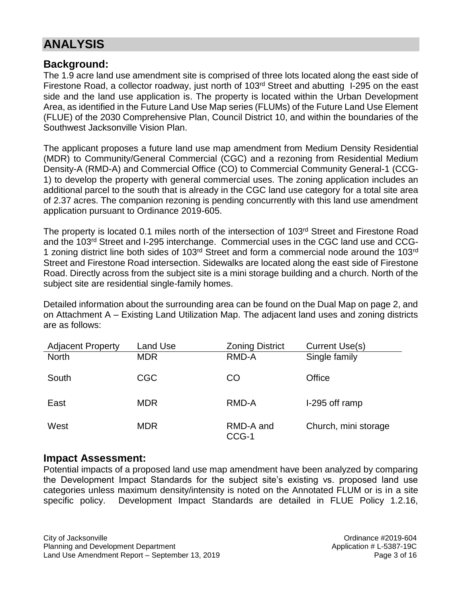# **ANALYSIS**

### **Background:**

The 1.9 acre land use amendment site is comprised of three lots located along the east side of Firestone Road, a collector roadway, just north of 103<sup>rd</sup> Street and abutting I-295 on the east side and the land use application is. The property is located within the Urban Development Area, as identified in the Future Land Use Map series (FLUMs) of the Future Land Use Element (FLUE) of the 2030 Comprehensive Plan, Council District 10, and within the boundaries of the Southwest Jacksonville Vision Plan.

The applicant proposes a future land use map amendment from Medium Density Residential (MDR) to Community/General Commercial (CGC) and a rezoning from Residential Medium Density-A (RMD-A) and Commercial Office (CO) to Commercial Community General-1 (CCG-1) to develop the property with general commercial uses. The zoning application includes an additional parcel to the south that is already in the CGC land use category for a total site area of 2.37 acres. The companion rezoning is pending concurrently with this land use amendment application pursuant to Ordinance 2019-605.

The property is located 0.1 miles north of the intersection of 103<sup>rd</sup> Street and Firestone Road and the 103rd Street and I-295 interchange. Commercial uses in the CGC land use and CCG-1 zoning district line both sides of 103<sup>rd</sup> Street and form a commercial node around the 103<sup>rd</sup> Street and Firestone Road intersection. Sidewalks are located along the east side of Firestone Road. Directly across from the subject site is a mini storage building and a church. North of the subject site are residential single-family homes.

Detailed information about the surrounding area can be found on the Dual Map on page 2, and on Attachment A – Existing Land Utilization Map. The adjacent land uses and zoning districts are as follows:

| <b>Adjacent Property</b> | Land Use   | <b>Zoning District</b> | Current Use(s)       |
|--------------------------|------------|------------------------|----------------------|
| <b>North</b>             | <b>MDR</b> | RMD-A                  | Single family        |
| South                    | <b>CGC</b> | CO                     | Office               |
| East                     | <b>MDR</b> | RMD-A                  | I-295 off ramp       |
| West                     | <b>MDR</b> | RMD-A and<br>CCG-1     | Church, mini storage |

### **Impact Assessment:**

Potential impacts of a proposed land use map amendment have been analyzed by comparing the Development Impact Standards for the subject site's existing vs. proposed land use categories unless maximum density/intensity is noted on the Annotated FLUM or is in a site specific policy. Development Impact Standards are detailed in FLUE Policy 1.2.16,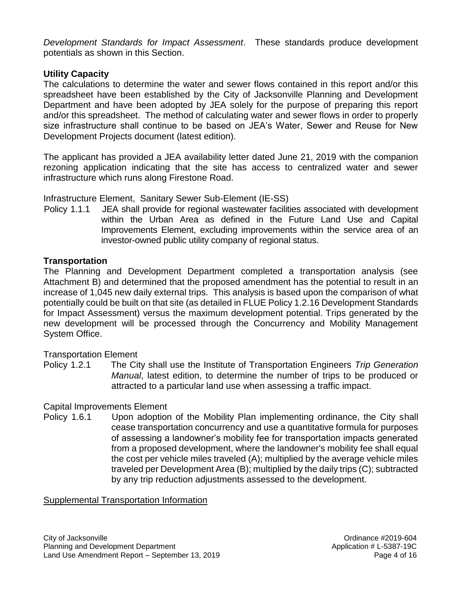*Development Standards for Impact Assessment*. These standards produce development potentials as shown in this Section.

### **Utility Capacity**

The calculations to determine the water and sewer flows contained in this report and/or this spreadsheet have been established by the City of Jacksonville Planning and Development Department and have been adopted by JEA solely for the purpose of preparing this report and/or this spreadsheet. The method of calculating water and sewer flows in order to properly size infrastructure shall continue to be based on JEA's Water, Sewer and Reuse for New Development Projects document (latest edition).

The applicant has provided a JEA availability letter dated June 21, 2019 with the companion rezoning application indicating that the site has access to centralized water and sewer infrastructure which runs along Firestone Road.

Infrastructure Element, Sanitary Sewer Sub-Element (IE-SS)

 Policy 1.1.1 JEA shall provide for regional wastewater facilities associated with development within the Urban Area as defined in the Future Land Use and Capital Improvements Element, excluding improvements within the service area of an investor-owned public utility company of regional status.

### **Transportation**

The Planning and Development Department completed a transportation analysis (see Attachment B) and determined that the proposed amendment has the potential to result in an increase of 1,045 new daily external trips. This analysis is based upon the comparison of what potentially could be built on that site (as detailed in FLUE Policy 1.2.16 Development Standards for Impact Assessment) versus the maximum development potential. Trips generated by the new development will be processed through the Concurrency and Mobility Management System Office.

#### Transportation Element

Policy 1.2.1The City shall use the Institute of Transportation Engineers *Trip Generation Manual*, latest edition, to determine the number of trips to be produced or attracted to a particular land use when assessing a traffic impact.

#### Capital Improvements Element

Policy 1.6.1Upon adoption of the Mobility Plan implementing ordinance, the City shall cease transportation concurrency and use a quantitative formula for purposes of assessing a landowner's mobility fee for transportation impacts generated from a proposed development, where the landowner's mobility fee shall equal the cost per vehicle miles traveled (A); multiplied by the average vehicle miles traveled per Development Area (B); multiplied by the daily trips (C); subtracted by any trip reduction adjustments assessed to the development.

#### Supplemental Transportation Information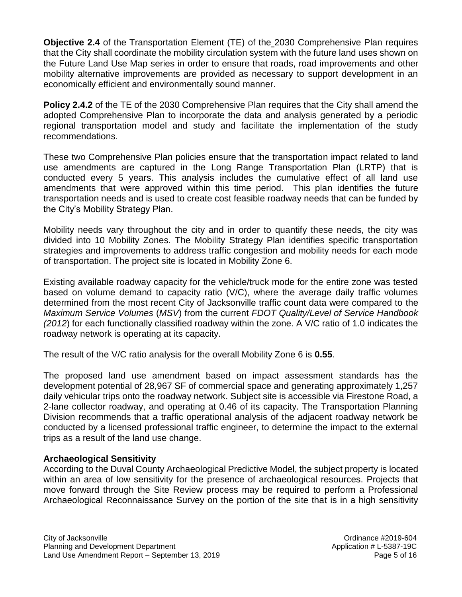**Objective 2.4** of the Transportation Element (TE) of the 2030 Comprehensive Plan requires that the City shall coordinate the mobility circulation system with the future land uses shown on the Future Land Use Map series in order to ensure that roads, road improvements and other mobility alternative improvements are provided as necessary to support development in an economically efficient and environmentally sound manner.

**Policy 2.4.2** of the TE of the 2030 Comprehensive Plan requires that the City shall amend the adopted Comprehensive Plan to incorporate the data and analysis generated by a periodic regional transportation model and study and facilitate the implementation of the study recommendations.

These two Comprehensive Plan policies ensure that the transportation impact related to land use amendments are captured in the Long Range Transportation Plan (LRTP) that is conducted every 5 years. This analysis includes the cumulative effect of all land use amendments that were approved within this time period. This plan identifies the future transportation needs and is used to create cost feasible roadway needs that can be funded by the City's Mobility Strategy Plan.

Mobility needs vary throughout the city and in order to quantify these needs, the city was divided into 10 Mobility Zones. The Mobility Strategy Plan identifies specific transportation strategies and improvements to address traffic congestion and mobility needs for each mode of transportation. The project site is located in Mobility Zone 6.

Existing available roadway capacity for the vehicle/truck mode for the entire zone was tested based on volume demand to capacity ratio (V/C), where the average daily traffic volumes determined from the most recent City of Jacksonville traffic count data were compared to the *Maximum Service Volumes* (*MSV*) from the current *FDOT Quality/Level of Service Handbook (2012*) for each functionally classified roadway within the zone. A V/C ratio of 1.0 indicates the roadway network is operating at its capacity.

The result of the V/C ratio analysis for the overall Mobility Zone 6 is **0.55**.

The proposed land use amendment based on impact assessment standards has the development potential of 28,967 SF of commercial space and generating approximately 1,257 daily vehicular trips onto the roadway network. Subject site is accessible via Firestone Road, a 2-lane collector roadway, and operating at 0.46 of its capacity. The Transportation Planning Division recommends that a traffic operational analysis of the adjacent roadway network be conducted by a licensed professional traffic engineer, to determine the impact to the external trips as a result of the land use change.

### **Archaeological Sensitivity**

According to the Duval County Archaeological Predictive Model, the subject property is located within an area of low sensitivity for the presence of archaeological resources. Projects that move forward through the Site Review process may be required to perform a Professional Archaeological Reconnaissance Survey on the portion of the site that is in a high sensitivity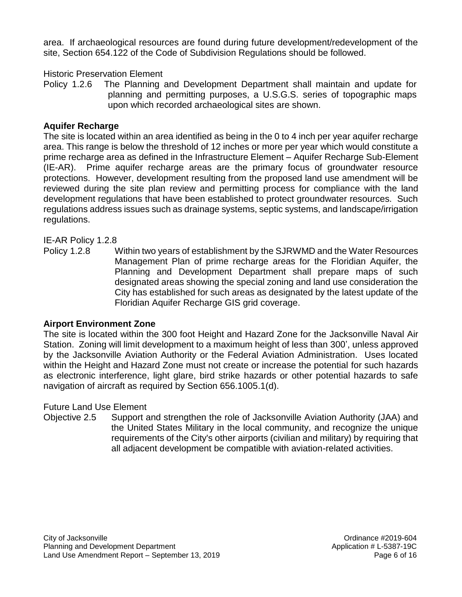area. If archaeological resources are found during future development/redevelopment of the site, Section 654.122 of the Code of Subdivision Regulations should be followed.

### Historic Preservation Element

Policy 1.2.6 The Planning and Development Department shall maintain and update for planning and permitting purposes, a U.S.G.S. series of topographic maps upon which recorded archaeological sites are shown.

#### **Aquifer Recharge**

The site is located within an area identified as being in the 0 to 4 inch per year aquifer recharge area. This range is below the threshold of 12 inches or more per year which would constitute a prime recharge area as defined in the Infrastructure Element – Aquifer Recharge Sub-Element (IE-AR). Prime aquifer recharge areas are the primary focus of groundwater resource protections. However, development resulting from the proposed land use amendment will be reviewed during the site plan review and permitting process for compliance with the land development regulations that have been established to protect groundwater resources. Such regulations address issues such as drainage systems, septic systems, and landscape/irrigation regulations.

### IE-AR Policy 1.2.8

Policy 1.2.8 Within two years of establishment by the SJRWMD and the Water Resources Management Plan of prime recharge areas for the Floridian Aquifer, the Planning and Development Department shall prepare maps of such designated areas showing the special zoning and land use consideration the City has established for such areas as designated by the latest update of the Floridian Aquifer Recharge GIS grid coverage.

#### **Airport Environment Zone**

The site is located within the 300 foot Height and Hazard Zone for the Jacksonville Naval Air Station. Zoning will limit development to a maximum height of less than 300', unless approved by the Jacksonville Aviation Authority or the Federal Aviation Administration. Uses located within the Height and Hazard Zone must not create or increase the potential for such hazards as electronic interference, light glare, bird strike hazards or other potential hazards to safe navigation of aircraft as required by Section 656.1005.1(d).

#### Future Land Use Element

Objective 2.5 Support and strengthen the role of Jacksonville Aviation Authority (JAA) and the United States Military in the local community, and recognize the unique requirements of the City's other airports (civilian and military) by requiring that all adjacent development be compatible with aviation-related activities.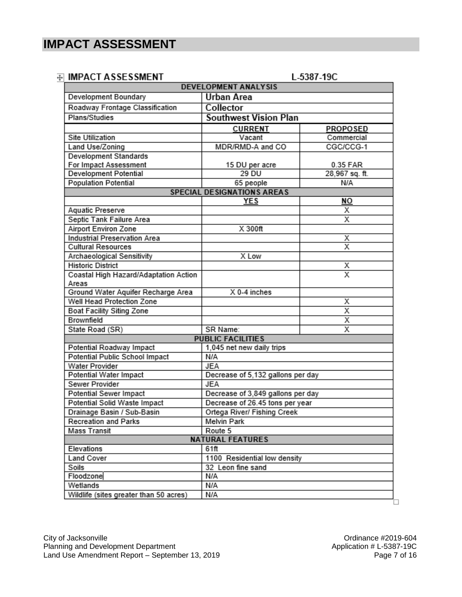### **A IMPACT ASSESSMENT**

1.5387.190

| imi ACI AJJLJJIMLNI                              | <b>DEVELOPMENT ANALYSIS</b>                    | L-JJVI-1JV              |
|--------------------------------------------------|------------------------------------------------|-------------------------|
|                                                  |                                                |                         |
| Development Boundary                             | <b>Urban Area</b>                              |                         |
| Roadway Frontage Classification<br>Plans/Studies | Collector                                      |                         |
|                                                  | <b>Southwest Vision Plan</b>                   |                         |
|                                                  | <b>CURRENT</b>                                 | <b>PROPOSED</b>         |
| <b>Site Utilization</b>                          | Vacant                                         | Commercial              |
| Land Use/Zoning                                  | MDR/RMD-A and CO                               | CGC/CCG-1               |
| Development Standards                            |                                                |                         |
| For Impact Assessment                            | 15 DU per acre<br>29 DU                        | 0.35 FAR                |
| Development Potential                            |                                                | 28,967 sq. ft.          |
| <b>Population Potential</b>                      | 65 people<br><b>SPECIAL DESIGNATIONS AREAS</b> | N/A                     |
|                                                  | <b>YES</b>                                     | NO                      |
| Aquatic Preserve                                 |                                                | Χ                       |
| Septic Tank Failure Area                         |                                                | Х                       |
| Airport Environ Zone                             | X 300ft                                        |                         |
| <b>Industrial Preservation Area</b>              |                                                | Χ                       |
| <b>Cultural Resources</b>                        |                                                | X                       |
| Archaeological Sensitivity                       | X Low                                          |                         |
| <b>Historic District</b>                         |                                                | Χ                       |
| Coastal High Hazard/Adaptation Action            |                                                | $\overline{\mathbf{x}}$ |
| Areas                                            |                                                |                         |
| Ground Water Aquifer Recharge Area               | X 0-4 inches                                   |                         |
| Well Head Protection Zone                        |                                                | х                       |
| Boat Facility Siting Zone                        |                                                | $\overline{\mathsf{x}}$ |
| Brownfield                                       |                                                | χ                       |
| State Road (SR)                                  | SR Name:                                       | $\overline{\mathsf{x}}$ |
|                                                  | <b>PUBLIC FACILITIES</b>                       |                         |
| Potential Roadway Impact                         | 1,045 net new daily trips                      |                         |
| Potential Public School Impact                   | N/A                                            |                         |
| Water Provider                                   | <b>JEA</b>                                     |                         |
| Potential Water Impact                           | Decrease of 5,132 gallons per day              |                         |
| Sewer Provider                                   | <b>JEA</b>                                     |                         |
| Potential Sewer Impact                           | Decrease of 3,849 gallons per day              |                         |
| Potential Solid Waste Impact                     | Decrease of 26.45 tons per year                |                         |
| Drainage Basin / Sub-Basin                       | Ortega River/ Fishing Creek                    |                         |
| <b>Recreation and Parks</b>                      | Melvin Park                                    |                         |
| <b>Mass Transit</b>                              | Route 5                                        |                         |
|                                                  | <b>NATURAL FEATURES</b>                        |                         |
| Elevations                                       | 61ft                                           |                         |
| <b>Land Cover</b>                                | 1100 Residential low density                   |                         |
| Soils                                            | 32 Leon fine sand                              |                         |
| Floodzone                                        | N/A                                            |                         |
| Wetlands                                         | N/A                                            |                         |
| Wildlife (sites greater than 50 acres)           | N/A                                            |                         |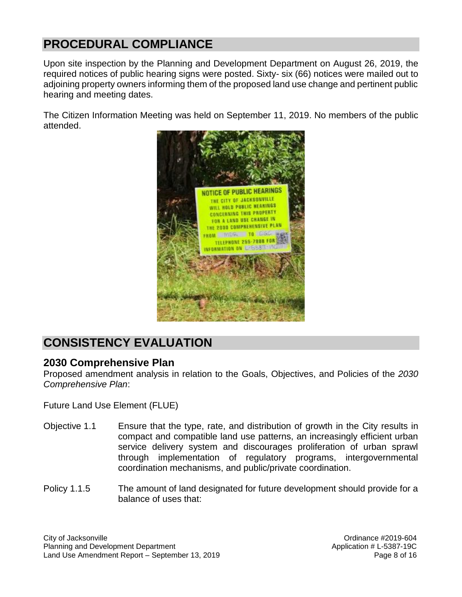# **PROCEDURAL COMPLIANCE**

Upon site inspection by the Planning and Development Department on August 26, 2019, the required notices of public hearing signs were posted. Sixty- six (66) notices were mailed out to adjoining property owners informing them of the proposed land use change and pertinent public hearing and meeting dates.

The Citizen Information Meeting was held on September 11, 2019. No members of the public attended.



# **CONSISTENCY EVALUATION**

### **2030 Comprehensive Plan**

Proposed amendment analysis in relation to the Goals, Objectives, and Policies of the *2030 Comprehensive Plan*:

Future Land Use Element (FLUE)

- Objective 1.1 Ensure that the type, rate, and distribution of growth in the City results in compact and compatible land use patterns, an increasingly efficient urban service delivery system and discourages proliferation of urban sprawl through implementation of regulatory programs, intergovernmental coordination mechanisms, and public/private coordination.
- Policy 1.1.5 The amount of land designated for future development should provide for a balance of uses that: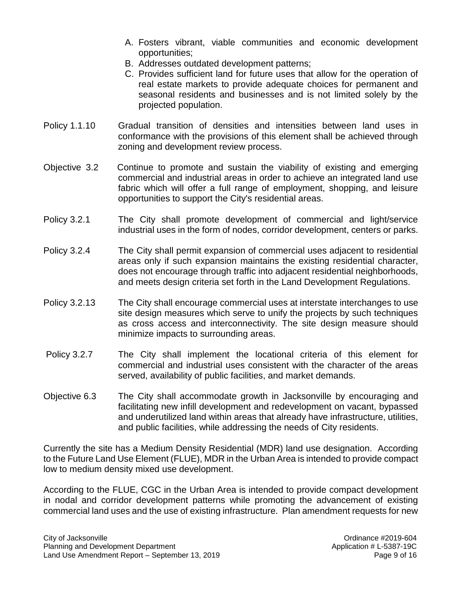- A. Fosters vibrant, viable communities and economic development opportunities;
- B. Addresses outdated development patterns;
- C. Provides sufficient land for future uses that allow for the operation of real estate markets to provide adequate choices for permanent and seasonal residents and businesses and is not limited solely by the projected population.
- Policy 1.1.10 Gradual transition of densities and intensities between land uses in conformance with the provisions of this element shall be achieved through zoning and development review process.
- Objective 3.2 Continue to promote and sustain the viability of existing and emerging commercial and industrial areas in order to achieve an integrated land use fabric which will offer a full range of employment, shopping, and leisure opportunities to support the City's residential areas.
- Policy 3.2.1 The City shall promote development of commercial and light/service industrial uses in the form of nodes, corridor development, centers or parks.
- Policy 3.2.4 The City shall permit expansion of commercial uses adjacent to residential areas only if such expansion maintains the existing residential character, does not encourage through traffic into adjacent residential neighborhoods, and meets design criteria set forth in the Land Development Regulations.
- Policy 3.2.13 The City shall encourage commercial uses at interstate interchanges to use site design measures which serve to unify the projects by such techniques as cross access and interconnectivity. The site design measure should minimize impacts to surrounding areas.
- Policy 3.2.7 The City shall implement the locational criteria of this element for commercial and industrial uses consistent with the character of the areas served, availability of public facilities, and market demands.
- Objective 6.3 The City shall accommodate growth in Jacksonville by encouraging and facilitating new infill development and redevelopment on vacant, bypassed and underutilized land within areas that already have infrastructure, utilities, and public facilities, while addressing the needs of City residents.

Currently the site has a Medium Density Residential (MDR) land use designation. According to the Future Land Use Element (FLUE), MDR in the Urban Area is intended to provide compact low to medium density mixed use development.

According to the FLUE, CGC in the Urban Area is intended to provide compact development in nodal and corridor development patterns while promoting the advancement of existing commercial land uses and the use of existing infrastructure. Plan amendment requests for new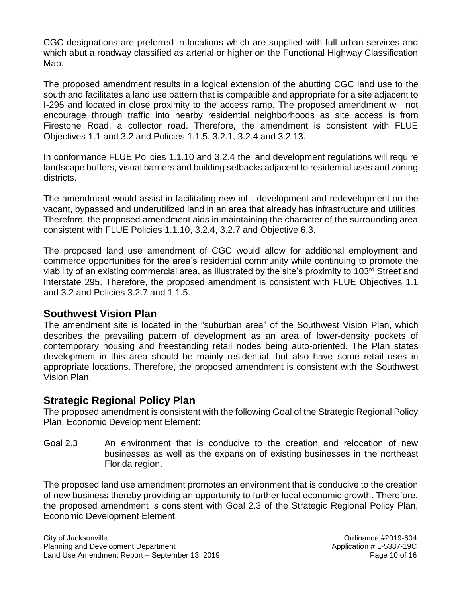CGC designations are preferred in locations which are supplied with full urban services and which abut a roadway classified as arterial or higher on the Functional Highway Classification Map.

The proposed amendment results in a logical extension of the abutting CGC land use to the south and facilitates a land use pattern that is compatible and appropriate for a site adjacent to I-295 and located in close proximity to the access ramp. The proposed amendment will not encourage through traffic into nearby residential neighborhoods as site access is from Firestone Road, a collector road. Therefore, the amendment is consistent with FLUE Objectives 1.1 and 3.2 and Policies 1.1.5, 3.2.1, 3.2.4 and 3.2.13.

In conformance FLUE Policies 1.1.10 and 3.2.4 the land development regulations will require landscape buffers, visual barriers and building setbacks adjacent to residential uses and zoning districts.

The amendment would assist in facilitating new infill development and redevelopment on the vacant, bypassed and underutilized land in an area that already has infrastructure and utilities. Therefore, the proposed amendment aids in maintaining the character of the surrounding area consistent with FLUE Policies 1.1.10, 3.2.4, 3.2.7 and Objective 6.3.

The proposed land use amendment of CGC would allow for additional employment and commerce opportunities for the area's residential community while continuing to promote the viability of an existing commercial area, as illustrated by the site's proximity to 103<sup>rd</sup> Street and Interstate 295. Therefore, the proposed amendment is consistent with FLUE Objectives 1.1 and 3.2 and Policies 3.2.7 and 1.1.5.

### **Southwest Vision Plan**

The amendment site is located in the "suburban area" of the Southwest Vision Plan, which describes the prevailing pattern of development as an area of lower-density pockets of contemporary housing and freestanding retail nodes being auto-oriented. The Plan states development in this area should be mainly residential, but also have some retail uses in appropriate locations. Therefore, the proposed amendment is consistent with the Southwest Vision Plan.

### **Strategic Regional Policy Plan**

The proposed amendment is consistent with the following Goal of the Strategic Regional Policy Plan, Economic Development Element:

Goal 2.3 An environment that is conducive to the creation and relocation of new businesses as well as the expansion of existing businesses in the northeast Florida region.

The proposed land use amendment promotes an environment that is conducive to the creation of new business thereby providing an opportunity to further local economic growth. Therefore, the proposed amendment is consistent with Goal 2.3 of the Strategic Regional Policy Plan, Economic Development Element.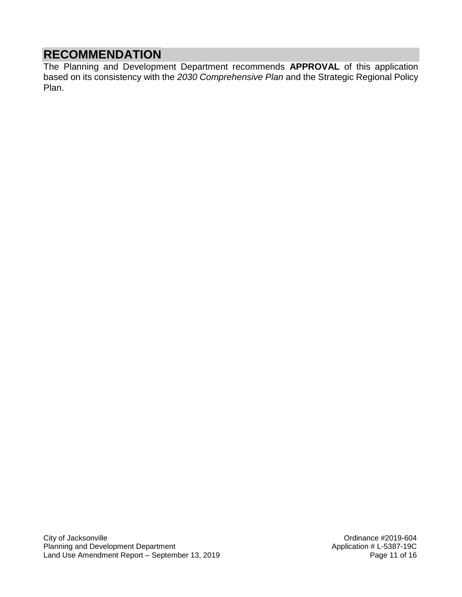## **RECOMMENDATION**

The Planning and Development Department recommends **APPROVAL** of this application based on its consistency with the *2030 Comprehensive Plan* and the Strategic Regional Policy Plan.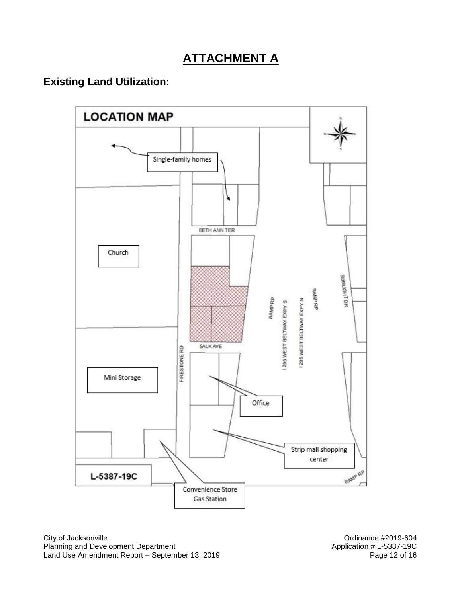# **ATTACHMENT A**

## **Existing Land Utilization:**



City of Jacksonville<br>
Planning and Development Department<br>
Planning and Development Department<br>
Ordinance #2019-604<br>
Application # L-5387-19C Planning and Development Department Land Use Amendment Report – September 13, 2019 **Page 12 of 16** Page 12 of 16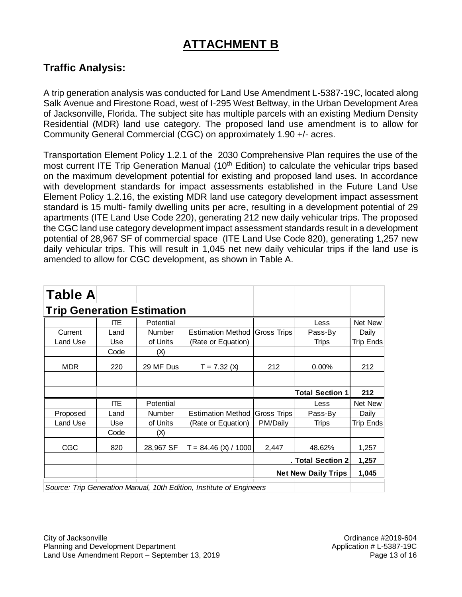# **ATTACHMENT B**

### **Traffic Analysis:**

A trip generation analysis was conducted for Land Use Amendment L-5387-19C, located along Salk Avenue and Firestone Road, west of I-295 West Beltway, in the Urban Development Area of Jacksonville, Florida. The subject site has multiple parcels with an existing Medium Density Residential (MDR) land use category. The proposed land use amendment is to allow for Community General Commercial (CGC) on approximately 1.90 +/- acres.

Transportation Element Policy 1.2.1 of the 2030 Comprehensive Plan requires the use of the most current ITE Trip Generation Manual (10<sup>th</sup> Edition) to calculate the vehicular trips based on the maximum development potential for existing and proposed land uses. In accordance with development standards for impact assessments established in the Future Land Use Element Policy 1.2.16, the existing MDR land use category development impact assessment standard is 15 multi- family dwelling units per acre, resulting in a development potential of 29 apartments (ITE Land Use Code 220), generating 212 new daily vehicular trips. The proposed the CGC land use category development impact assessment standards result in a development potential of 28,967 SF of commercial space (ITE Land Use Code 820), generating 1,257 new daily vehicular trips. This will result in 1,045 net new daily vehicular trips if the land use is amended to allow for CGC development, as shown in Table A.

| <b>Table A</b>                    |            |               |                                      |          |                            |           |
|-----------------------------------|------------|---------------|--------------------------------------|----------|----------------------------|-----------|
| <b>Trip Generation Estimation</b> |            |               |                                      |          |                            |           |
|                                   | ITE.       | Potential     |                                      |          | Less                       | Net New   |
| Current                           | Land       | Number        | Estimation Method Gross Trips        |          | Pass-By                    | Daily     |
| Land Use                          | Use        | of Units      | (Rate or Equation)                   |          | Trips                      | Trip Ends |
|                                   | Code       | (X)           |                                      |          |                            |           |
| <b>MDR</b>                        | 220        | 29 MF Dus     | $T = 7.32$ (X)                       | 212      | 0.00%                      | 212       |
|                                   |            |               |                                      |          |                            |           |
|                                   |            |               |                                      |          |                            |           |
|                                   |            |               |                                      |          | <b>Total Section 1</b>     | 212       |
|                                   | <b>ITE</b> | Potential     |                                      |          | Less                       | Net New   |
| Proposed                          | Land       | <b>Number</b> | <b>Estimation Method Gross Trips</b> |          | Pass-By                    | Daily     |
| Land Use                          | Use        | of Units      | (Rate or Equation)                   | PM/Daily | Trips                      | Trip Ends |
|                                   | Code       | (X)           |                                      |          |                            |           |
| <b>CGC</b>                        | 820        | 28,967 SF     | $T = 84.46$ (X) / 1000               | 2,447    | 48.62%                     | 1,257     |
|                                   |            |               |                                      |          | . Total Section 2          | 1,257     |
|                                   |            |               |                                      |          | <b>Net New Daily Trips</b> | 1,045     |

*Source: Trip Generation Manual, 10th Edition, Institute of Engineers*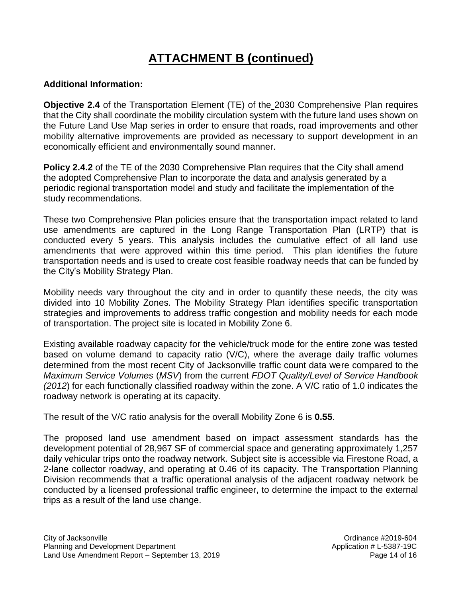# **ATTACHMENT B (continued)**

### **Additional Information:**

**Objective 2.4** of the Transportation Element (TE) of the 2030 Comprehensive Plan requires that the City shall coordinate the mobility circulation system with the future land uses shown on the Future Land Use Map series in order to ensure that roads, road improvements and other mobility alternative improvements are provided as necessary to support development in an economically efficient and environmentally sound manner.

**Policy 2.4.2** of the TE of the 2030 Comprehensive Plan requires that the City shall amend the adopted Comprehensive Plan to incorporate the data and analysis generated by a periodic regional transportation model and study and facilitate the implementation of the study recommendations.

These two Comprehensive Plan policies ensure that the transportation impact related to land use amendments are captured in the Long Range Transportation Plan (LRTP) that is conducted every 5 years. This analysis includes the cumulative effect of all land use amendments that were approved within this time period. This plan identifies the future transportation needs and is used to create cost feasible roadway needs that can be funded by the City's Mobility Strategy Plan.

Mobility needs vary throughout the city and in order to quantify these needs, the city was divided into 10 Mobility Zones. The Mobility Strategy Plan identifies specific transportation strategies and improvements to address traffic congestion and mobility needs for each mode of transportation. The project site is located in Mobility Zone 6.

Existing available roadway capacity for the vehicle/truck mode for the entire zone was tested based on volume demand to capacity ratio (V/C), where the average daily traffic volumes determined from the most recent City of Jacksonville traffic count data were compared to the *Maximum Service Volumes* (*MSV*) from the current *FDOT Quality/Level of Service Handbook (2012*) for each functionally classified roadway within the zone. A V/C ratio of 1.0 indicates the roadway network is operating at its capacity.

The result of the V/C ratio analysis for the overall Mobility Zone 6 is **0.55**.

The proposed land use amendment based on impact assessment standards has the development potential of 28,967 SF of commercial space and generating approximately 1,257 daily vehicular trips onto the roadway network. Subject site is accessible via Firestone Road, a 2-lane collector roadway, and operating at 0.46 of its capacity. The Transportation Planning Division recommends that a traffic operational analysis of the adjacent roadway network be conducted by a licensed professional traffic engineer, to determine the impact to the external trips as a result of the land use change.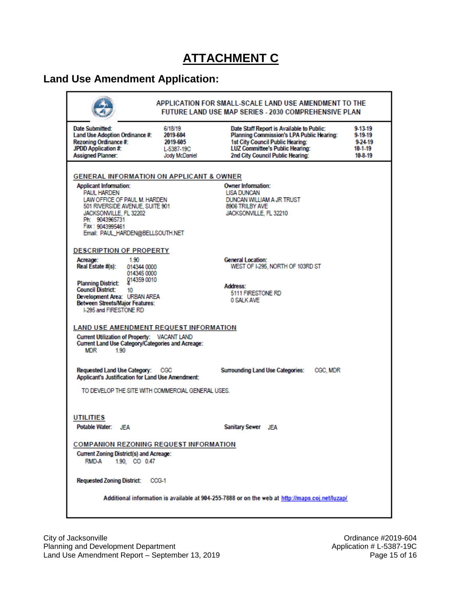# **ATTACHMENT C**

## **Land Use Amendment Application:**

| <b>Date Submitted:</b><br>Land Use Adoption Ordinance #:                                                                                                                      | 6/18/19<br>2019-604                | Date Staff Report is Available to Public:<br>Planning Commission's LPA Public Hearing:   | 9-13-19<br>9-19-19     |
|-------------------------------------------------------------------------------------------------------------------------------------------------------------------------------|------------------------------------|------------------------------------------------------------------------------------------|------------------------|
| Rezoning Ordinance #:                                                                                                                                                         | 2019-605                           | 1st City Council Public Hearing:                                                         | 9-24-19                |
| JPDD Application #:<br><b>Assigned Planner:</b>                                                                                                                               | L-5387-19C<br><b>Jody McDaniel</b> | <b>LUZ Committee's Public Hearing:</b><br>2nd City Council Public Hearing:               | $10-1-19$<br>$10-8-19$ |
| <b>GENERAL INFORMATION ON APPLICANT &amp; OWNER</b><br><b>Applicant Information:</b><br><b>PAUL HARDEN</b><br>LAW OFFICE OF PAUL M. HARDEN<br>501 RIVERSIDE AVENUE, SUITE 901 |                                    | <b>Owner Information:</b><br>LISA DUNCAN<br>DUNCAN WILLIAM A JR TRUST<br>8906 TRILBY AVE |                        |
| JACKSONVILLE, FL 32202<br>Ph: 9043965731<br>Fax: 9043995461<br>Email: PAUL_HARDEN@BELLSOUTH.NET<br><b>DESCRIPTION OF PROPERTY</b>                                             |                                    | JACKSONVILLE, FL 32210                                                                   |                        |
| 1.90<br>Acreage:<br>Real Estate #(s):<br>014344 0000<br>014345 0000<br>014359 0010                                                                                            |                                    | <b>General Location:</b><br>WEST OF I-295, NORTH OF 103RD ST                             |                        |
| <b>Planning District:</b><br><b>Council District:</b><br>10                                                                                                                   |                                    | Address:                                                                                 |                        |
| Development Area: URBAN AREA<br><b>Between Streets/Maior Features:</b><br><b>I-295 and FIRESTONE RD</b>                                                                       |                                    | 5111 FIRESTONE RD<br>0 SALK AVE                                                          |                        |
| <b>LAND USE AMENDMENT REQUEST INFORMATION</b><br>Current Utilization of Property: VACANT LAND<br>Current Land Use Category/Categories and Acreage:<br>MDR<br>190              |                                    |                                                                                          |                        |
| <b>Requested Land Use Category:</b><br>Applicant's Justification for Land Use Amendment:                                                                                      | <b>CGC</b>                         | <b>Surrounding Land Use Categories:</b><br>CGC, MDR                                      |                        |
| TO DEVELOP THE SITE WITH COMMERCIAL GENERAL USES.                                                                                                                             |                                    |                                                                                          |                        |
| <b>UTILITIES</b>                                                                                                                                                              |                                    |                                                                                          |                        |
| Potable Water: JEA                                                                                                                                                            |                                    | Sanitary Sewer JEA                                                                       |                        |
| <b>COMPANION REZONING REQUEST INFORMATION</b>                                                                                                                                 |                                    |                                                                                          |                        |
| <b>Current Zoning District(s) and Acreage:</b><br>1.90. CO 0.47<br>RMD-A                                                                                                      |                                    |                                                                                          |                        |
|                                                                                                                                                                               |                                    |                                                                                          |                        |